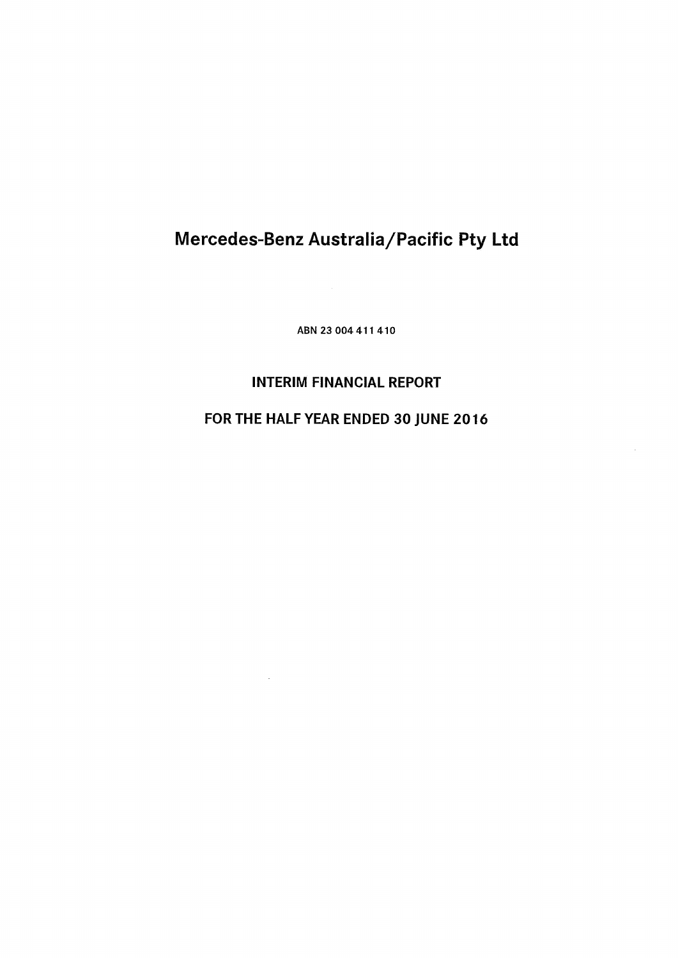**ABN 23 004 411 410**

# **INTERIM FINANCIAL REPORT**

# **FOR THE HALF YEAR ENDED 30 JUNE 2016**

 $\mathcal{A}$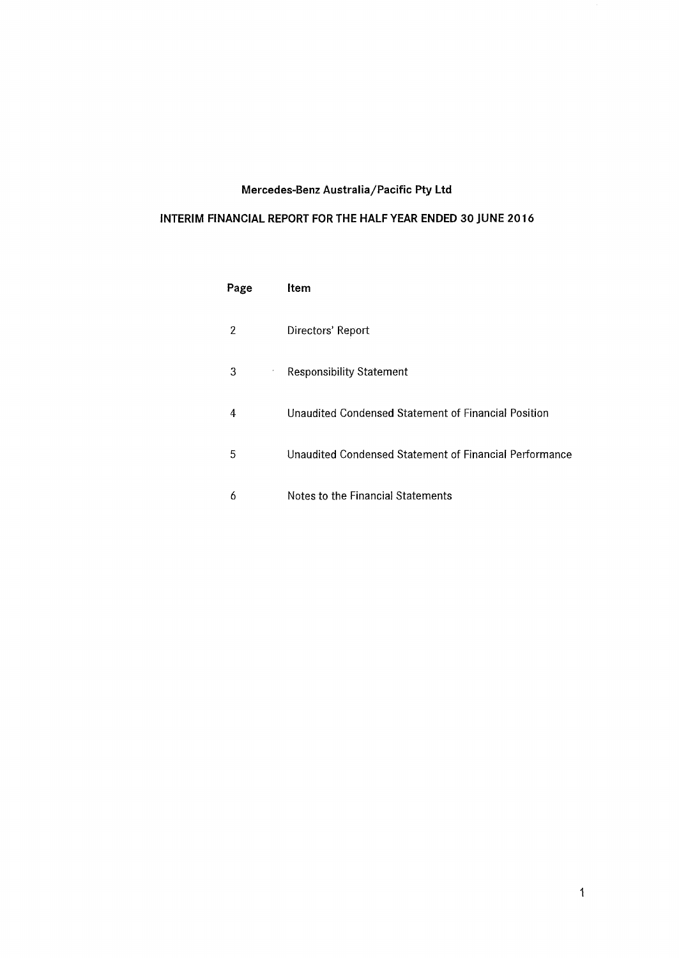# **INTERIM FINANCIAL REPORT FOR THE HALF YEAR ENDED 30 JUNE 2016**

| Page   | Item                                                   |
|--------|--------------------------------------------------------|
| 2      | Directors' Report                                      |
| 3<br>ĭ | <b>Responsibility Statement</b>                        |
| 4      | Unaudited Condensed Statement of Financial Position    |
| 5      | Unaudited Condensed Statement of Financial Performance |
| 6      | Notes to the Financial Statements                      |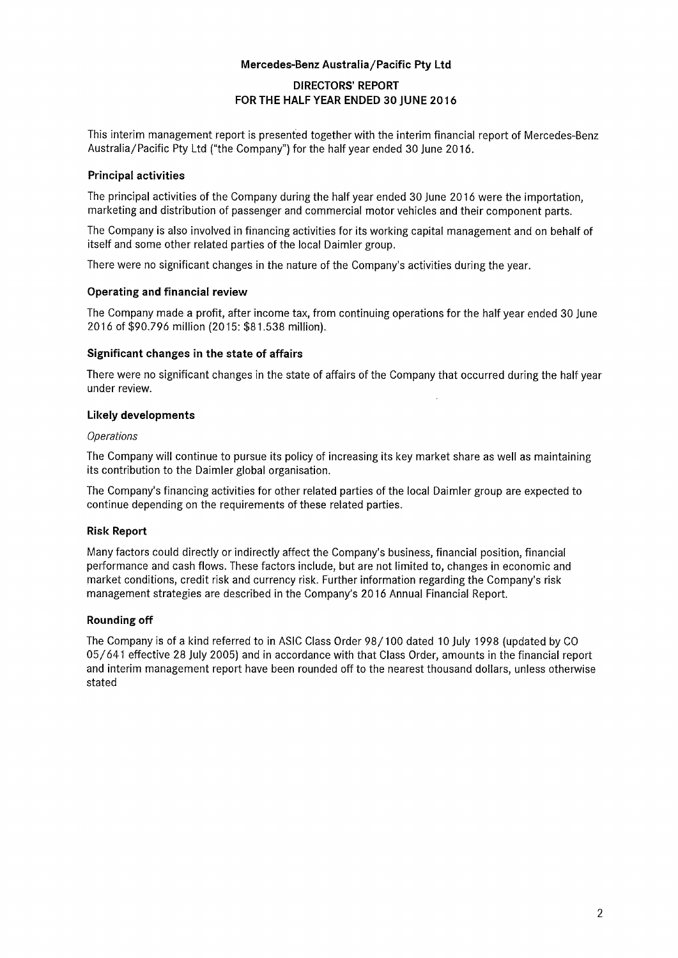# **DIRECTORS' REPORT FOR THE HALF YEAR ENDED 30 JUNE 2016 Mercedes-Benz Australia/Pacific Pty Ltd**

This interim management report is presented together with the interim financial report of Mercedes-Benz Australia/Pacific Pty Ltd ("the Company") for the half year ended 30 June 2016.

# **Principal activities**

The principal activities of the Company during the half year ended 30 June 2016 were the importation, marketing and distribution of passenger and commercial motor vehicles and their component parts.

The Company is also involved in financing activities for its working capital management and on behalf of itself and some other related parties of the local Daimler group.

There were no significant changes in the nature of the Company's activities during the year.

# **Operating and financial review**

The Company made a profit, after income tax, from continuing operations for the half year ended 30 June 2016 of \$90,796 million (2015: \$81,538 million).

# **Significant changes in the state of affairs**

There were no significant changes in the state of affairs of the Company that occurred during the half year under review.

# **Likely developments**

#### *Operations*

The Company will continue to pursue its policy of increasing its key market share as well as maintaining its contribution to the Daimler global organisation.

The Company's financing activities for other related parties of the local Daimler group are expected to continue depending on the requirements of these related parties.

# **Risk Report**

Many factors could directly or indirectly affect the Company's business, financial position, financial performance and cash flows. These factors include, but are not limited to, changes in economic and market conditions, credit risk and currency risk. Further information regarding the Company's risk management strategies are described in the Company's 2016 Annual Financial Report.

#### **Rounding off**

The Company is of a kind referred to in ASIC Class Order 98/100 dated 10 July 1998 (updated by CO 05/641 effective 28 July 2005) and in accordance with that Class Order, amounts in the financial report and interim management report have been rounded off to the nearest thousand dollars, unless otherwise stated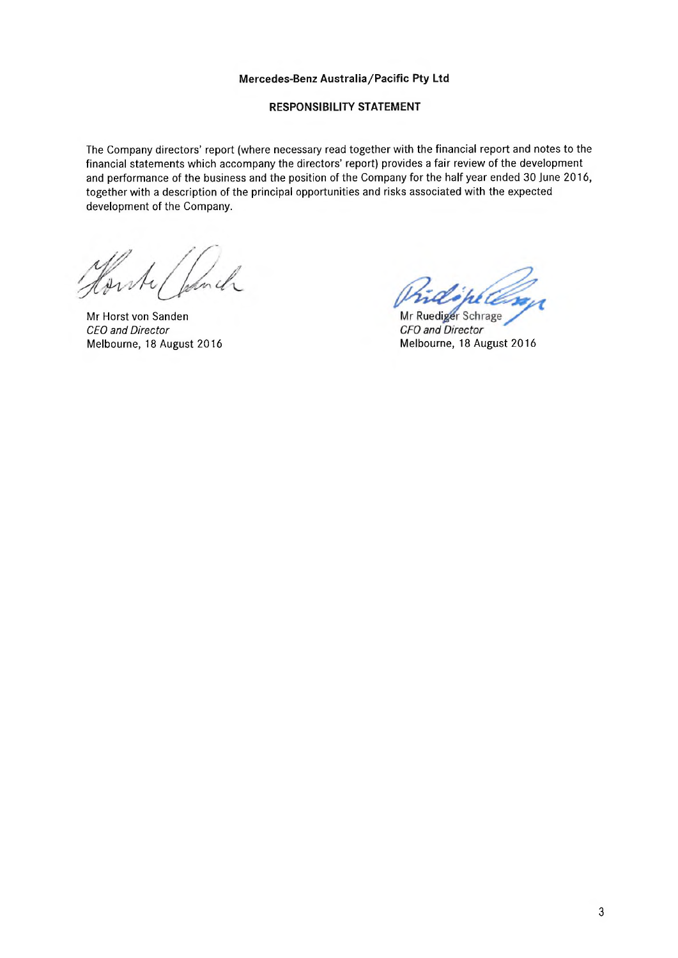# **RESPONSIBILITY STATEMENT**

The Company directors' report (where necessary read together with the financial report and notes to the financial statements which accompany the directors' report) provides a fair review of the development and performance of the business and the position of the Company for the half year ended 30 June 2016, together with a description of the principal opportunities and risks associated with the expected development of the Company.

Horty

Mr Horst von Sanden *CEO and Director*

Mr Ruediger Schrage **CFO** and Director Melbourne, 18 August 2016 Melbourne, 18 August 2016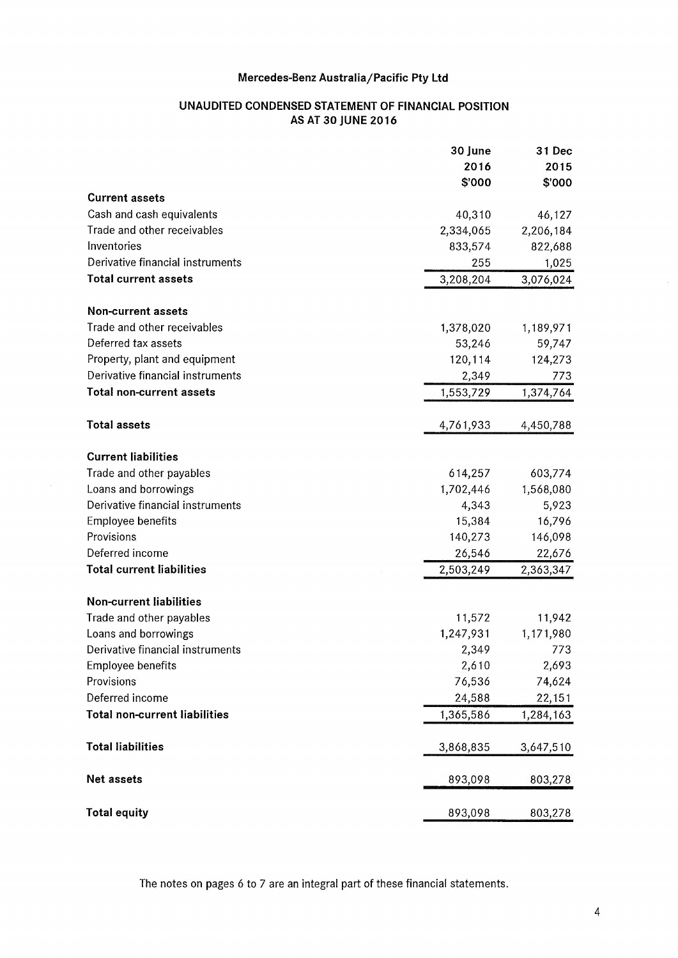# **UNAUDITED CONDENSED STATEMENT OF FINANCIAL POSITION AS AT 30 JUNE 2016**

|                                      | 30 June   | 31 Dec    |
|--------------------------------------|-----------|-----------|
|                                      | 2016      | 2015      |
|                                      | \$'000    | \$'000    |
| <b>Current assets</b>                |           |           |
| Cash and cash equivalents            | 40,310    | 46,127    |
| Trade and other receivables          | 2,334,065 | 2,206,184 |
| Inventories                          | 833,574   | 822,688   |
| Derivative financial instruments     | 255       | 1,025     |
| <b>Total current assets</b>          | 3,208,204 | 3,076,024 |
| Non-current assets                   |           |           |
| Trade and other receivables          | 1,378,020 | 1,189,971 |
| Deferred tax assets                  | 53,246    | 59,747    |
| Property, plant and equipment        | 120,114   | 124,273   |
| Derivative financial instruments     | 2,349     | 773       |
| <b>Total non-current assets</b>      | 1,553,729 | 1,374,764 |
| <b>Total assets</b>                  | 4,761,933 | 4,450,788 |
| <b>Current liabilities</b>           |           |           |
| Trade and other payables             | 614,257   | 603,774   |
| Loans and borrowings                 | 1,702,446 | 1,568,080 |
| Derivative financial instruments     | 4,343     | 5,923     |
| <b>Employee benefits</b>             | 15,384    | 16,796    |
| Provisions                           | 140,273   | 146,098   |
| Deferred income                      | 26,546    | 22,676    |
| <b>Total current liabilities</b>     | 2,503,249 | 2,363,347 |
| <b>Non-current liabilities</b>       |           |           |
| Trade and other payables             | 11,572    | 11,942    |
| Loans and borrowings                 | 1,247,931 | 1,171,980 |
| Derivative financial instruments     | 2,349     | 773       |
| Employee benefits                    | 2,610     | 2,693     |
| Provisions                           | 76,536    | 74,624    |
| Deferred income                      | 24,588    | 22,151    |
| <b>Total non-current liabilities</b> | 1,365,586 | 1,284,163 |
| <b>Total liabilities</b>             | 3,868,835 | 3,647,510 |
| Net assets                           | 893,098   | 803,278   |
| <b>Total equity</b>                  | 893,098   | 803,278   |

 $\hat{\boldsymbol{\beta}}$ 

The notes on pages 6 to 7 are an integral part of these financial statements.

 $\epsilon$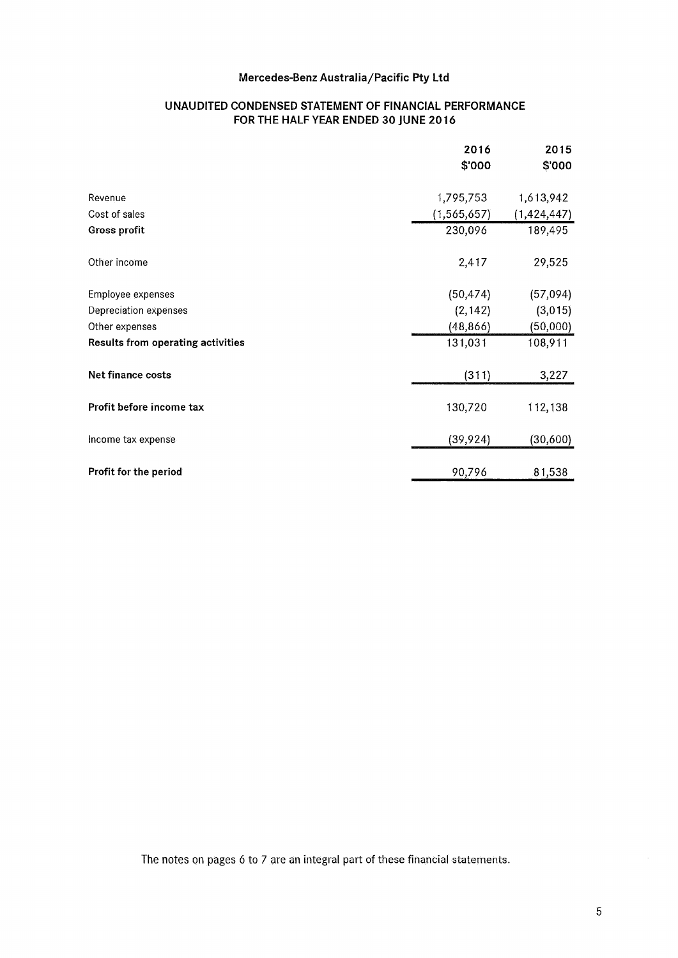# **UNAUDITED CONDENSED STATEMENT OF FINANCIAL PERFORMANCE FOR THE HALF YEAR ENDED 30 JUNE 2016**

|                                          | 2016<br>\$'000 | 2015<br>\$'000 |
|------------------------------------------|----------------|----------------|
| Revenue                                  | 1,795,753      | 1,613,942      |
| Cost of sales                            | (1, 565, 657)  | (1,424,447)    |
| <b>Gross profit</b>                      | 230,096        | 189,495        |
| Other income                             | 2,417          | 29,525         |
| Employee expenses                        | (50, 474)      | (57, 094)      |
| Depreciation expenses                    | (2, 142)       | (3,015)        |
| Other expenses                           | (48, 866)      | (50,000)       |
| <b>Results from operating activities</b> | 131,031        | 108,911        |
| Net finance costs                        | (311)          | 3,227          |
| Profit before income tax                 | 130,720        | 112,138        |
| Income tax expense                       | (39, 924)      | (30, 600)      |
| Profit for the period                    | 90,796         | 81,538         |

The notes on pages 6 to 7 are an integral part of these financial statements.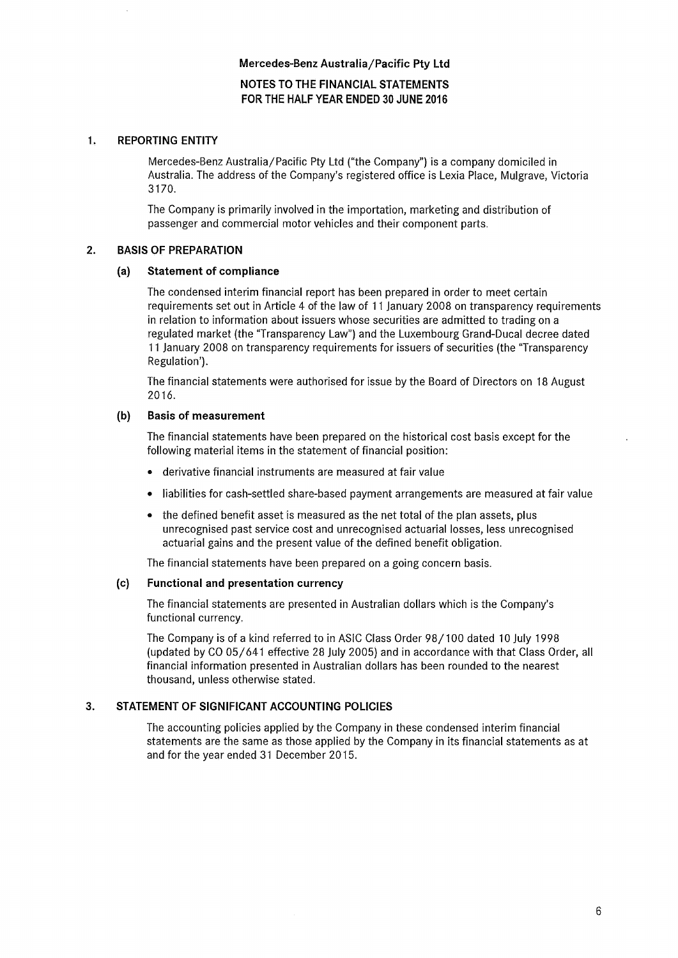# **NOTES TO THE FINANCIAL STATEMENTS FOR THE HALF YEAR ENDED 30 JUNE 2016**

# **1. REPORTING ENTITY**

Mercedes-Benz Australia/Pacific Pty Ltd ("the Company") is a company domiciled in Australia. The address of the Company's registered office is Lexia Place, Mulgrave, Victoria 3170.

The Company is primarily involved in the importation, marketing and distribution of passenger and commercial motor vehicles and their component parts.

# **2. BASIS OF PREPARATION**

# **(a) Statement of compliance**

The condensed interim financial report has been prepared in order to meet certain requirements set out in Article 4 of the law of 11 January 2008 on transparency requirements in relation to information about issuers whose securities are admitted to trading on a regulated market (the "Transparency Law") and the Luxembourg Grand-Ducal decree dated 11 January 2008 on transparency requirements for issuers of securities (the "Transparency Regulation').

The financial statements were authorised for issue by the Board of Directors on 18 August 2016.

# **(b) Basis of measurement**

The financial statements have been prepared on the historical cost basis except for the following material items in the statement of financial position:

- derivative financial instruments are measured at fair value
- liabilities for cash-settled share-based payment arrangements are measured at fair value
- the defined benefit asset is measured as the net total of the plan assets, plus unrecognised past service cost and unrecognised actuarial losses, less unrecognised actuarial gains and the present value of the defined benefit obligation.

The financial statements have been prepared on a going concern basis.

# **(c) Functional and presentation currency**

The financial statements are presented in Australian dollars which is the Company's functional currency.

The Company is of a kind referred to in ASIC Class Order 98/100 dated 10 July 1998 (updated by CO 05/641 effective 28 July 2005) and in accordance with that Class Order, all financial information presented in Australian dollars has been rounded to the nearest thousand, unless otherwise stated.

# **3. STATEMENT OF SIGNIFICANT ACCOUNTING POLICIES**

The accounting policies applied by the Company in these condensed interim financial statements are the same as those applied by the Company in its financial statements as at and for the year ended 31 December 2015.